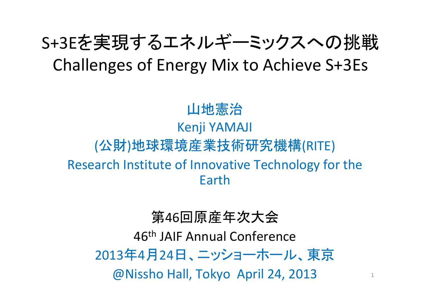# S+3Eを実現するエネルギーミックスへの挑戦 Challenges of Energy Mix to Achieve S+3Es

## 山地憲治 Kenji YAMAJI (公財)地球環境産業技術研究機構(RITE) Research Institute of Innovative Technology for the Earth

#### 第46回原産年次大会

46<sup>th</sup> JAIF Annual Conference 2013年4月24日、ニッショーホール、東京

@Nissho Hall, Tokyo April 24, 2013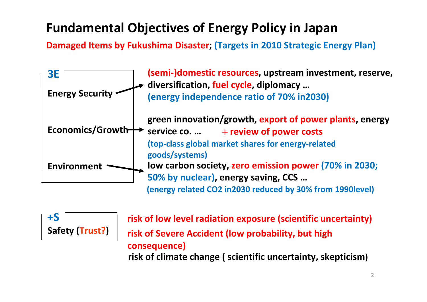#### **Fundamental Objectives of Energy Policy in Japan**

**Damaged Items by Fukushima Disaster; (Targets in 2010 Strategic Energy Plan)**



**+SSafety (Trust?)**

**risk of low level radiation exposure (scientific uncertainty) risk of Severe Accident (low probability, but high consequence) risk of climate change ( scientific uncertainty, skepticism)**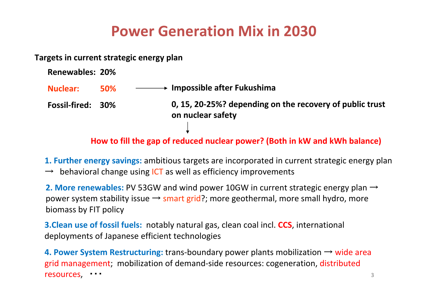#### **Power Generation Mix in 2030**

**Targets in current strategic energy plan**

| <b>Renewables: 20%</b> |            |                                                                               |
|------------------------|------------|-------------------------------------------------------------------------------|
| Nuclear:               | <b>50%</b> | $\longrightarrow$ Impossible after Fukushima                                  |
| Fossil-fired: 30%      |            | 0, 15, 20-25%? depending on the recovery of public trust<br>on nuclear safety |

**How to fill the gap of reduced nuclear power? (Both in kW and kWh balance)**

**1. Further energy savings:** ambitious targets are incorporated in current strategic energy plan  $\rightarrow$  behavioral change using ICT as well as efficiency improvements

**2. More renewables:** PV 53GW and wind power 10GW in current strategic energy plan <sup>→</sup> power system stability issue  $\rightarrow$  smart grid?; more geothermal, more small hydro, more biomass by FIT policy

**3.Clean use of fossil fuels:** notably natural gas, clean coal incl. **CCS**, international deployments of Japanese efficient technologies

3 **4. Power System Restructuring:** trans‐boundary power plants mobilization <sup>→</sup> wide area grid management; mobilization of demand‐side resources: cogeneration, distributed resources, ・・・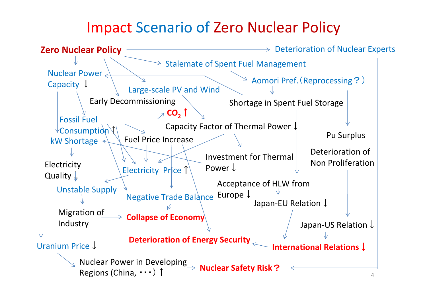### Impact Scenario of Zero Nuclear Policy

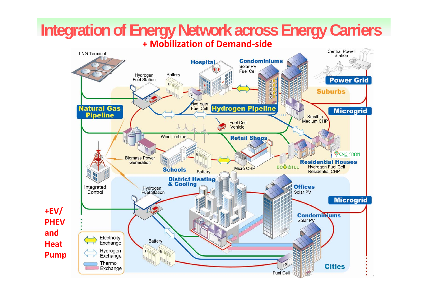#### **Integration of Energy Network across Energy Carriers + Mobilization of Demand ‐side**

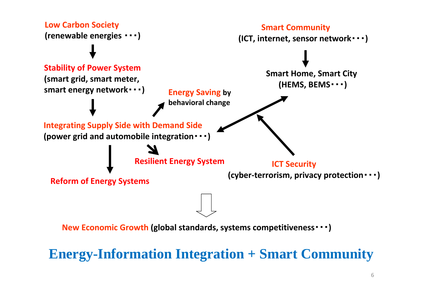

**Energy-Information Integration + Smart Community**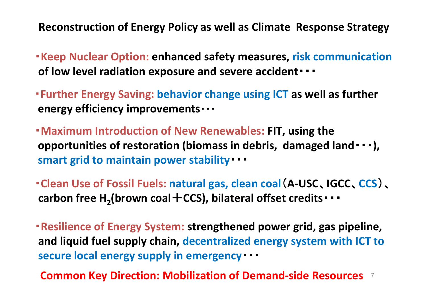**Reconstruction of Energy Policy as well as Climate Response Strategy**

・**Keep Nuclear Option: enhanced safety measures, risk communication of low level radiation exposure and severe accident**・・・

・**Further Energy Saving: behavior change using ICT as well as further energy efficiency improvements**・・・

・**Maximum Introduction of New Renewables: FIT, using the opportunities of restoration (biomass in debris, damaged land**・・・**), smart grid to maintain power stability**・・・

・**Clean Use of Fossil Fuels: natural gas, clean coal**(**A‐USC**、**IGCC**、**CCS**)、 **carbon** free  $\textsf{H}_{\textsf{2}}$ (brown coal $+$  CCS), bilateral offset credits・・・

・**Resilience of Energy System: strengthened power grid, gas pipeline, and liquid fuel supply chain, decentralized energy system with ICT to secure local energy supply in emergency**・・・

7 **Common Key Direction: Mobilization of Demand‐side Resources**